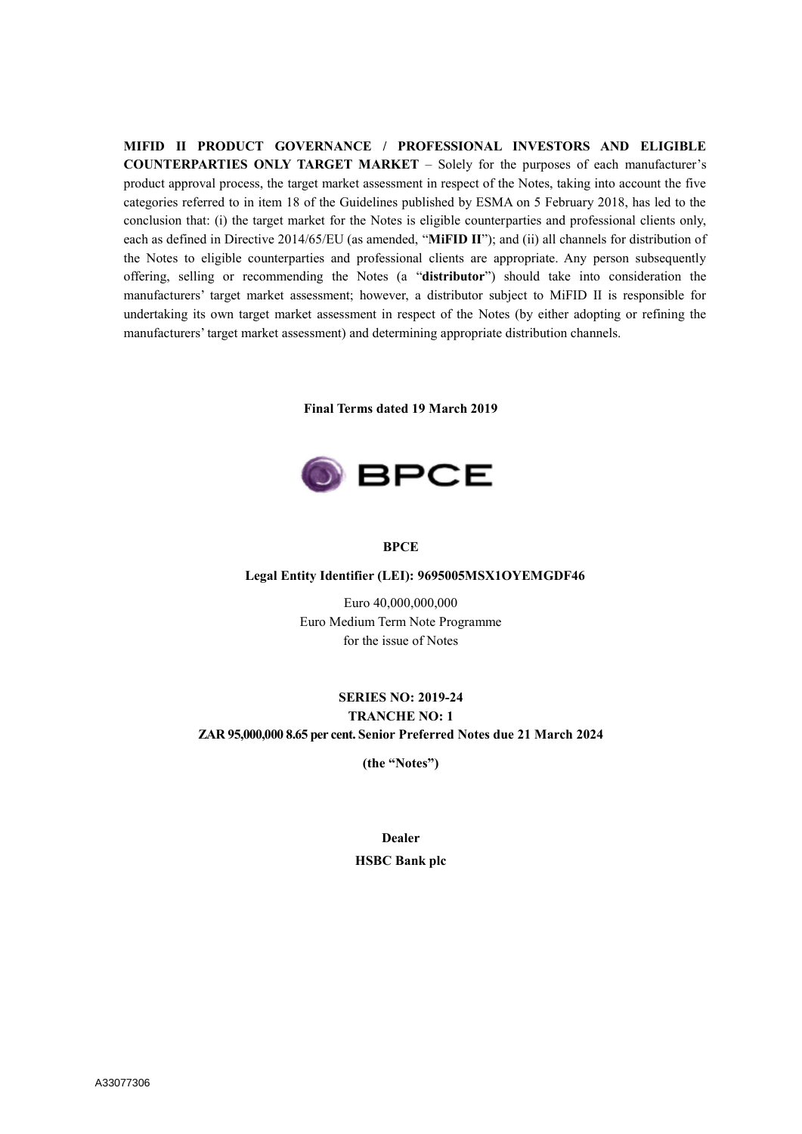**MIFID II PRODUCT GOVERNANCE / PROFESSIONAL INVESTORS AND ELIGIBLE COUNTERPARTIES ONLY TARGET MARKET** – Solely for the purposes of each manufacturer's product approval process, the target market assessment in respect of the Notes, taking into account the five categories referred to in item 18 of the Guidelines published by ESMA on 5 February 2018, has led to the conclusion that: (i) the target market for the Notes is eligible counterparties and professional clients only, each as defined in Directive 2014/65/EU (as amended, "**MiFID II**"); and (ii) all channels for distribution of the Notes to eligible counterparties and professional clients are appropriate. Any person subsequently offering, selling or recommending the Notes (a "**distributor**") should take into consideration the manufacturers' target market assessment; however, a distributor subject to MiFID II is responsible for undertaking its own target market assessment in respect of the Notes (by either adopting or refining the manufacturers' target market assessment) and determining appropriate distribution channels.

**Final Terms dated 19 March 2019**



#### **BPCE**

#### **Legal Entity Identifier (LEI): 9695005MSX1OYEMGDF46**

Euro 40,000,000,000 Euro Medium Term Note Programme for the issue of Notes

## **SERIES NO: 2019-24 TRANCHE NO: 1 ZAR 95,000,000 8.65 per cent. Senior Preferred Notes due 21 March 2024**

**(the "Notes")**

## **Dealer HSBC Bank plc**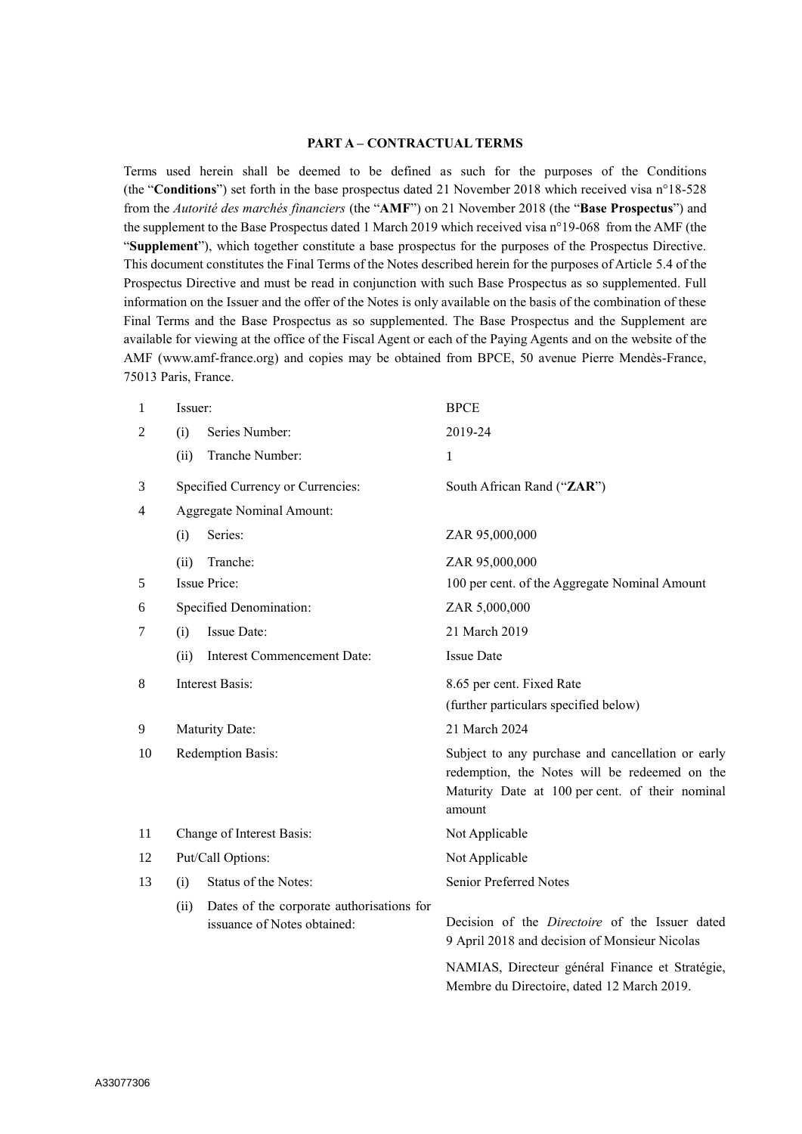### **PART A – CONTRACTUAL TERMS**

Terms used herein shall be deemed to be defined as such for the purposes of the Conditions (the "**Conditions**") set forth in the base prospectus dated 21 November 2018 which received visa n°18-528 from the *Autorité des marchés financiers* (the "**AMF**") on 21 November 2018 (the "**Base Prospectus**") and the supplement to the Base Prospectus dated 1 March 2019 which received visa n°19-068 from the AMF (the "**Supplement**"), which together constitute a base prospectus for the purposes of the Prospectus Directive. This document constitutes the Final Terms of the Notes described herein for the purposes of Article 5.4 of the Prospectus Directive and must be read in conjunction with such Base Prospectus as so supplemented. Full information on the Issuer and the offer of the Notes is only available on the basis of the combination of these Final Terms and the Base Prospectus as so supplemented. The Base Prospectus and the Supplement are available for viewing at the office of the Fiscal Agent or each of the Paying Agents and on the website of the AMF (www.amf-france.org) and copies may be obtained from BPCE, 50 avenue Pierre Mendès-France, 75013 Paris, France.

| 1              | Issuer:                   |                                                                          | <b>BPCE</b>                                                                                                                                                     |  |  |
|----------------|---------------------------|--------------------------------------------------------------------------|-----------------------------------------------------------------------------------------------------------------------------------------------------------------|--|--|
| $\overline{2}$ | Series Number:<br>(i)     |                                                                          | 2019-24                                                                                                                                                         |  |  |
|                | (ii)                      | Tranche Number:                                                          | 1                                                                                                                                                               |  |  |
| 3              |                           | Specified Currency or Currencies:                                        | South African Rand ("ZAR")                                                                                                                                      |  |  |
| 4              |                           | Aggregate Nominal Amount:                                                |                                                                                                                                                                 |  |  |
|                | (i)                       | Series:                                                                  | ZAR 95,000,000                                                                                                                                                  |  |  |
|                | (ii)                      | Tranche:                                                                 | ZAR 95,000,000                                                                                                                                                  |  |  |
| 5              |                           | <b>Issue Price:</b>                                                      | 100 per cent. of the Aggregate Nominal Amount                                                                                                                   |  |  |
| 6              |                           | Specified Denomination:                                                  | ZAR 5,000,000                                                                                                                                                   |  |  |
| 7              | (i)                       | Issue Date:                                                              | 21 March 2019                                                                                                                                                   |  |  |
|                | (ii)                      | <b>Interest Commencement Date:</b>                                       | <b>Issue Date</b>                                                                                                                                               |  |  |
| 8              | <b>Interest Basis:</b>    |                                                                          | 8.65 per cent. Fixed Rate                                                                                                                                       |  |  |
|                |                           |                                                                          | (further particulars specified below)                                                                                                                           |  |  |
| 9              |                           | Maturity Date:                                                           | 21 March 2024                                                                                                                                                   |  |  |
| 10             | Redemption Basis:         |                                                                          | Subject to any purchase and cancellation or early<br>redemption, the Notes will be redeemed on the<br>Maturity Date at 100 per cent. of their nominal<br>amount |  |  |
| 11             | Change of Interest Basis: |                                                                          | Not Applicable                                                                                                                                                  |  |  |
| 12             | Put/Call Options:         |                                                                          | Not Applicable                                                                                                                                                  |  |  |
| 13             | (i)                       | Status of the Notes:                                                     | Senior Preferred Notes                                                                                                                                          |  |  |
|                | (ii)                      | Dates of the corporate authorisations for<br>issuance of Notes obtained: | Decision of the Directoire of the Issuer dated<br>9 April 2018 and decision of Monsieur Nicolas                                                                 |  |  |
|                |                           |                                                                          | NAMIAS, Directeur général Finance et Stratégie,<br>Membre du Directoire, dated 12 March 2019.                                                                   |  |  |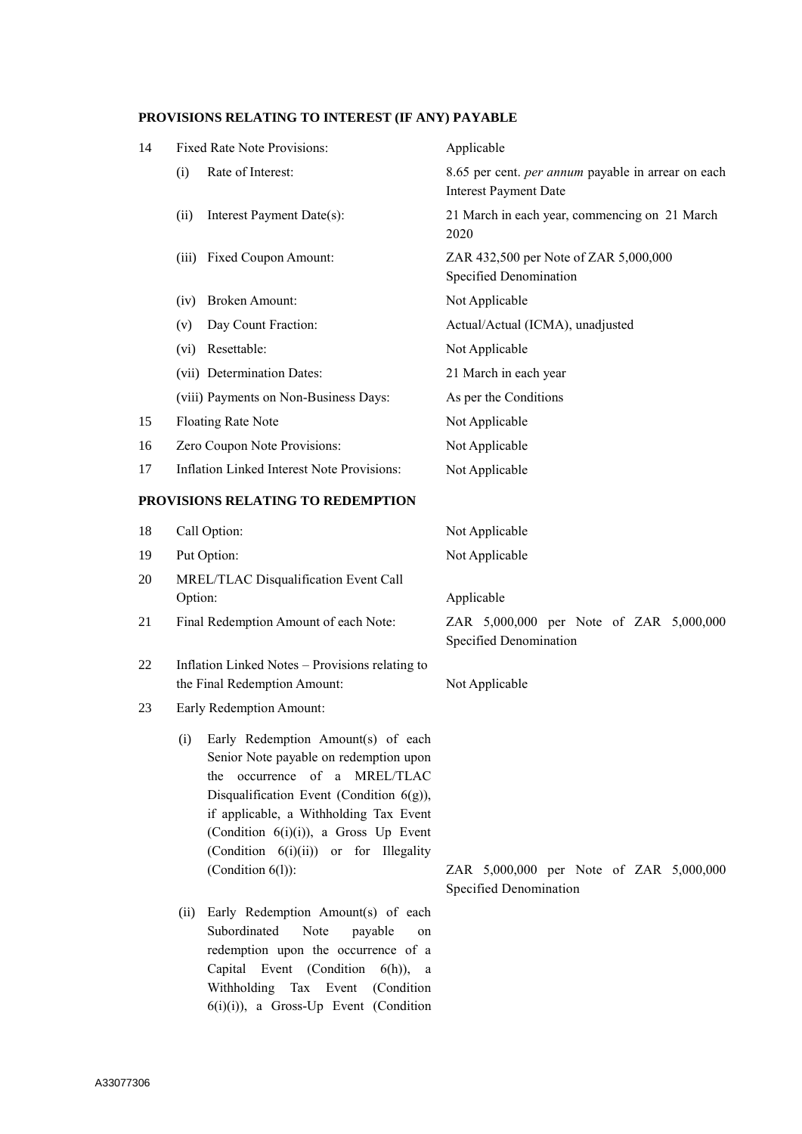### **PROVISIONS RELATING TO INTEREST (IF ANY) PAYABLE**

| 14 | <b>Fixed Rate Note Provisions:</b>         | Applicable                                                                                |
|----|--------------------------------------------|-------------------------------------------------------------------------------------------|
|    | Rate of Interest:<br>(i)                   | 8.65 per cent. <i>per annum</i> payable in arrear on each<br><b>Interest Payment Date</b> |
|    | Interest Payment Date(s):<br>(ii)          | 21 March in each year, commencing on 21 March<br>2020                                     |
|    | Fixed Coupon Amount:<br>(iii)              | ZAR 432,500 per Note of ZAR 5,000,000<br>Specified Denomination                           |
|    | Broken Amount:<br>(iv)                     | Not Applicable                                                                            |
|    | Day Count Fraction:<br>(v)                 | Actual/Actual (ICMA), unadjusted                                                          |
|    | Resettable:<br>(vi)                        | Not Applicable                                                                            |
|    | (vii) Determination Dates:                 | 21 March in each year                                                                     |
|    | (viii) Payments on Non-Business Days:      | As per the Conditions                                                                     |
| 15 | <b>Floating Rate Note</b>                  | Not Applicable                                                                            |
| 16 | Zero Coupon Note Provisions:               | Not Applicable                                                                            |
| 17 | Inflation Linked Interest Note Provisions: | Not Applicable                                                                            |

## **PROVISIONS RELATING TO REDEMPTION**

| 18  | Call Option:                                                                    | Not Applicable                                                    |
|-----|---------------------------------------------------------------------------------|-------------------------------------------------------------------|
| 19  | Put Option:                                                                     | Not Applicable                                                    |
| 20  | MREL/TLAC Disqualification Event Call<br>Option:                                | Applicable                                                        |
| 21  | Final Redemption Amount of each Note:                                           | ZAR 5,000,000 per Note of ZAR 5,000,000<br>Specified Denomination |
| 22. | Inflation Linked Notes – Provisions relating to<br>the Final Redemption Amount: | Not Applicable                                                    |

- 23 Early Redemption Amount:
	- (i) Early Redemption Amount(s) of each Senior Note payable on redemption upon the occurrence of a MREL/TLAC Disqualification Event (Condition 6(g)), if applicable, a Withholding Tax Event (Condition 6(i)(i)), a Gross Up Event (Condition 6(i)(ii)) or for Illegality
	- (ii) Early Redemption Amount(s) of each Subordinated Note payable on redemption upon the occurrence of a Capital Event (Condition 6(h)), a Withholding Tax Event (Condition 6(i)(i)), a Gross-Up Event (Condition

(Condition 6(l)): ZAR 5,000,000 per Note of ZAR 5,000,000 Specified Denomination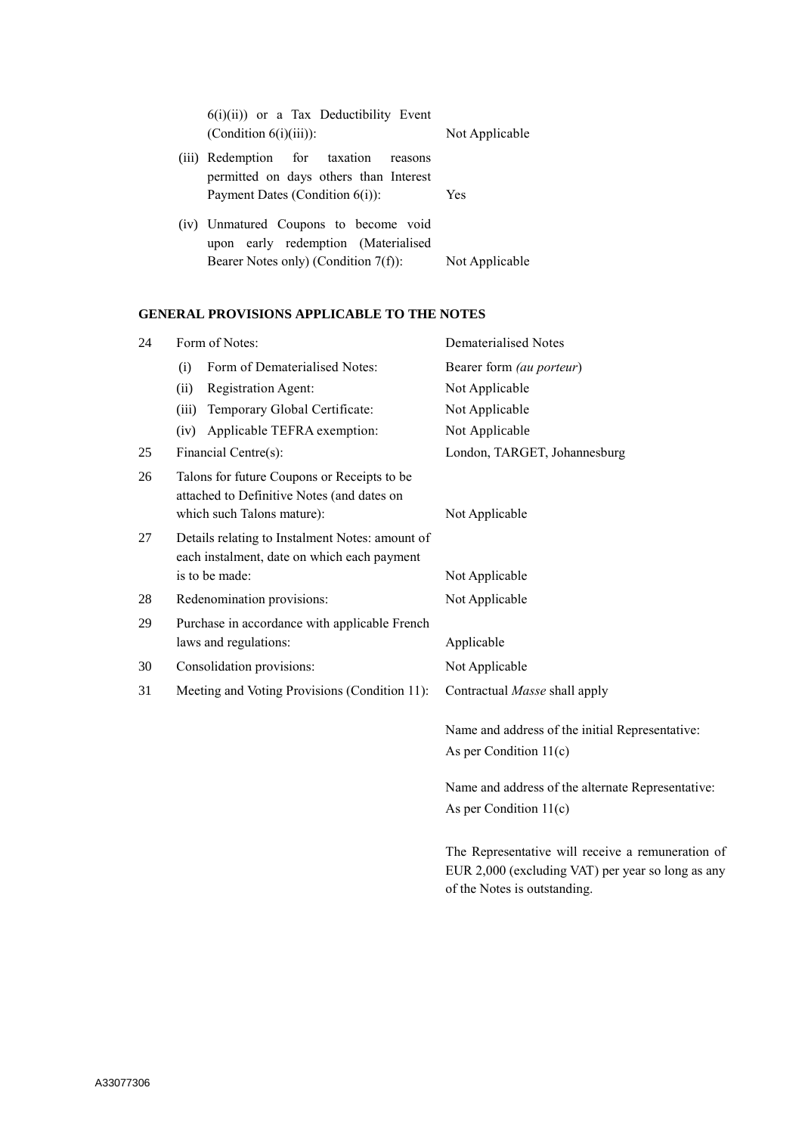| $6(i)(ii)$ or a Tax Deductibility Event<br>$(Condition 6(i)(iii))$ :               | Not Applicable |
|------------------------------------------------------------------------------------|----------------|
| (iii) Redemption for taxation<br>reasons<br>permitted on days others than Interest |                |
| Payment Dates (Condition $6(i)$ ):                                                 | <b>Yes</b>     |
| (iv) Unmatured Coupons to become void<br>upon early redemption (Materialised       |                |
| Bearer Notes only) (Condition 7(f)):                                               | Not Applicable |

### **GENERAL PROVISIONS APPLICABLE TO THE NOTES**

| 24 |       | Form of Notes:                                                                                                          | Dematerialised Notes                                                        |  |  |
|----|-------|-------------------------------------------------------------------------------------------------------------------------|-----------------------------------------------------------------------------|--|--|
|    | (i)   | Form of Dematerialised Notes:                                                                                           | Bearer form (au porteur)                                                    |  |  |
|    | (ii)  | Registration Agent:                                                                                                     | Not Applicable                                                              |  |  |
|    | (iii) | Temporary Global Certificate:                                                                                           | Not Applicable                                                              |  |  |
|    | (iv)  | Applicable TEFRA exemption:                                                                                             | Not Applicable                                                              |  |  |
| 25 |       | Financial Centre(s):                                                                                                    | London, TARGET, Johannesburg                                                |  |  |
| 26 |       | Talons for future Coupons or Receipts to be<br>attached to Definitive Notes (and dates on<br>which such Talons mature): | Not Applicable                                                              |  |  |
| 27 |       | Details relating to Instalment Notes: amount of<br>each instalment, date on which each payment<br>is to be made:        | Not Applicable                                                              |  |  |
| 28 |       | Redenomination provisions:                                                                                              | Not Applicable                                                              |  |  |
| 29 |       | Purchase in accordance with applicable French<br>laws and regulations:                                                  | Applicable                                                                  |  |  |
| 30 |       | Consolidation provisions:                                                                                               | Not Applicable                                                              |  |  |
| 31 |       | Meeting and Voting Provisions (Condition 11):                                                                           | Contractual Masse shall apply                                               |  |  |
|    |       |                                                                                                                         | Name and address of the initial Representative:<br>As per Condition $11(c)$ |  |  |

Name and address of the alternate Representative: As per Condition 11(c)

The Representative will receive a remuneration of EUR 2,000 (excluding VAT) per year so long as any of the Notes is outstanding.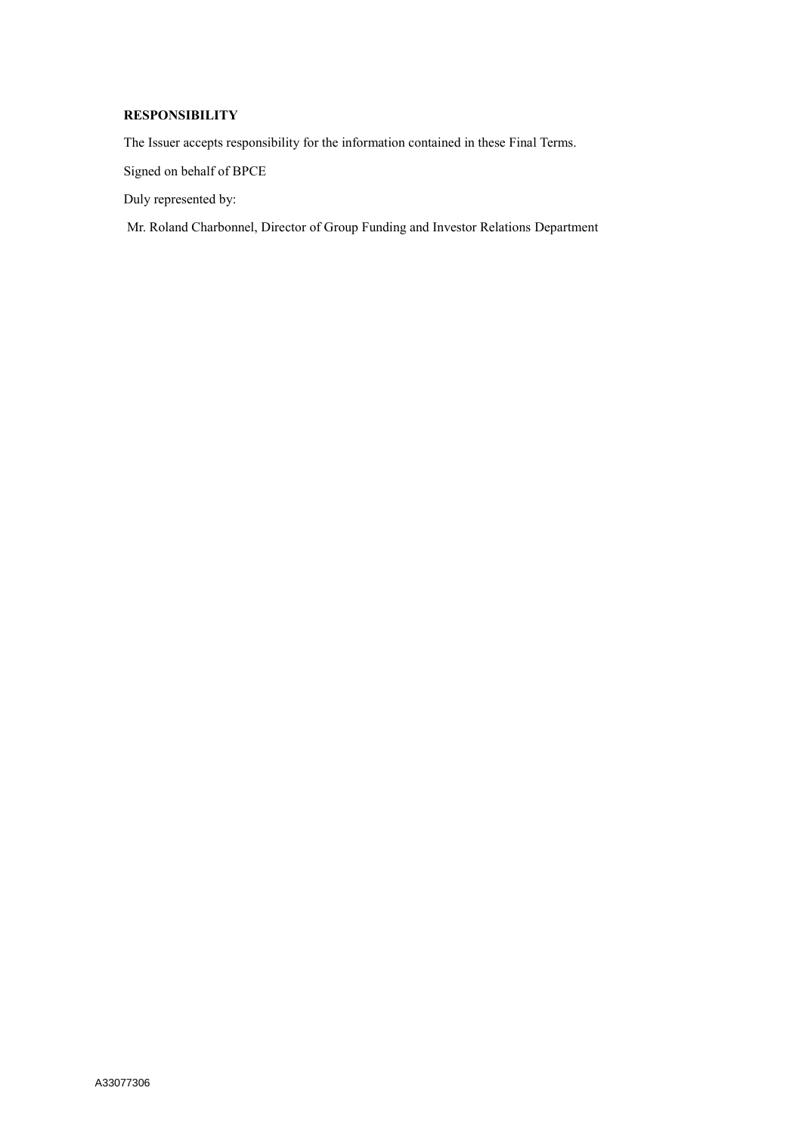## **RESPONSIBILITY**

The Issuer accepts responsibility for the information contained in these Final Terms.

Signed on behalf of BPCE

Duly represented by:

Mr. Roland Charbonnel, Director of Group Funding and Investor Relations Department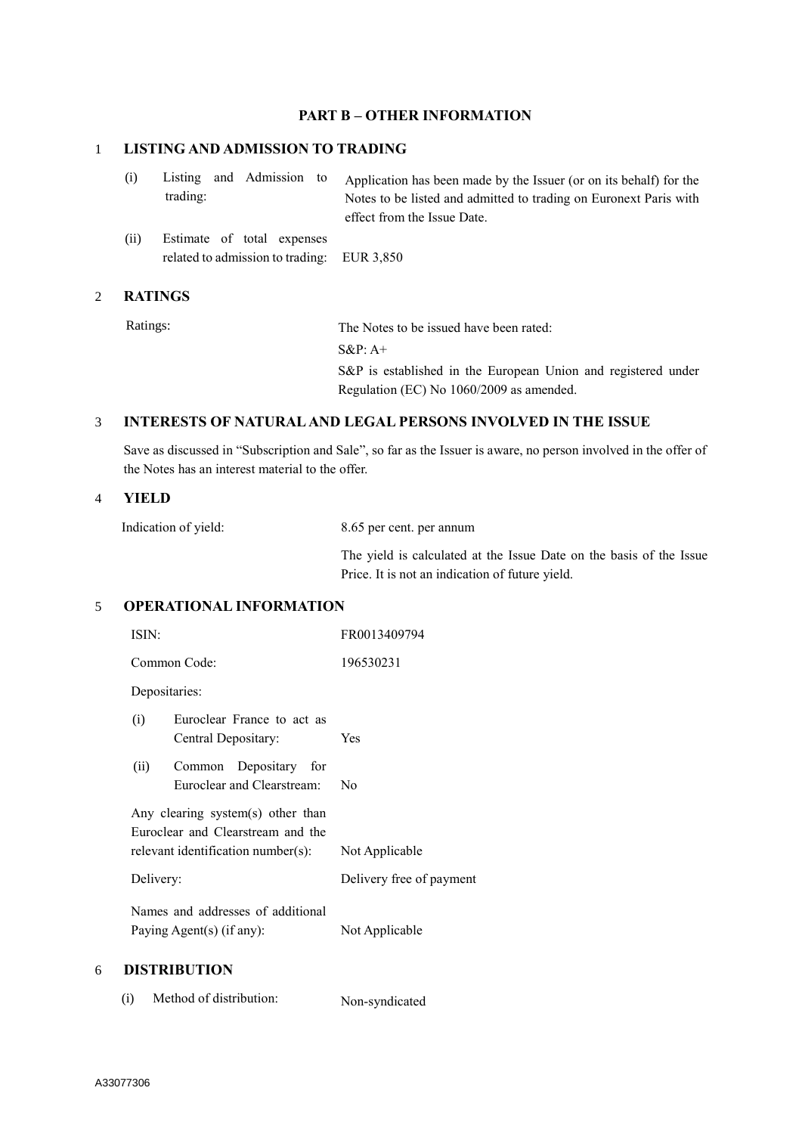## **PART B – OTHER INFORMATION**

### 1 **LISTING AND ADMISSION TO TRADING**

|          |  | (i) Listing and Admission to Application has been made by the Issuer (or on its behalf) for the |
|----------|--|-------------------------------------------------------------------------------------------------|
| trading: |  | Notes to be listed and admitted to trading on Euronext Paris with                               |
|          |  | effect from the Issue Date.                                                                     |

(ii) Estimate of total expenses related to admission to trading: EUR 3,850

### 2 **RATINGS**

Ratings: The Notes to be issued have been rated: S&P: A+ S&P is established in the European Union and registered under Regulation (EC) No 1060/2009 as amended.

## 3 **INTERESTS OF NATURAL AND LEGAL PERSONS INVOLVED IN THE ISSUE**

Save as discussed in "Subscription and Sale", so far as the Issuer is aware, no person involved in the offer of the Notes has an interest material to the offer.

## 4 **YIELD**

Indication of yield: 8.65 per cent. per annum

The yield is calculated at the Issue Date on the basis of the Issue Price. It is not an indication of future yield.

### 5 **OPERATIONAL INFORMATION**

|   | ISIN:     |                                                                                                              | FR0013409794             |
|---|-----------|--------------------------------------------------------------------------------------------------------------|--------------------------|
|   |           | Common Code:                                                                                                 | 196530231                |
|   |           | Depositaries:                                                                                                |                          |
|   | (i)       | Euroclear France to act as<br>Central Depositary:                                                            | Yes                      |
|   | (ii)      | Common Depositary for<br>Euroclear and Clearstream:                                                          | No                       |
|   |           | Any clearing system(s) other than<br>Euroclear and Clearstream and the<br>relevant identification number(s): | Not Applicable           |
|   | Delivery: |                                                                                                              | Delivery free of payment |
|   |           | Names and addresses of additional<br>Paying Agent(s) (if any):                                               | Not Applicable           |
| 6 |           | <b>DISTRIBUTION</b>                                                                                          |                          |

(i) Method of distribution: Non-syndicated